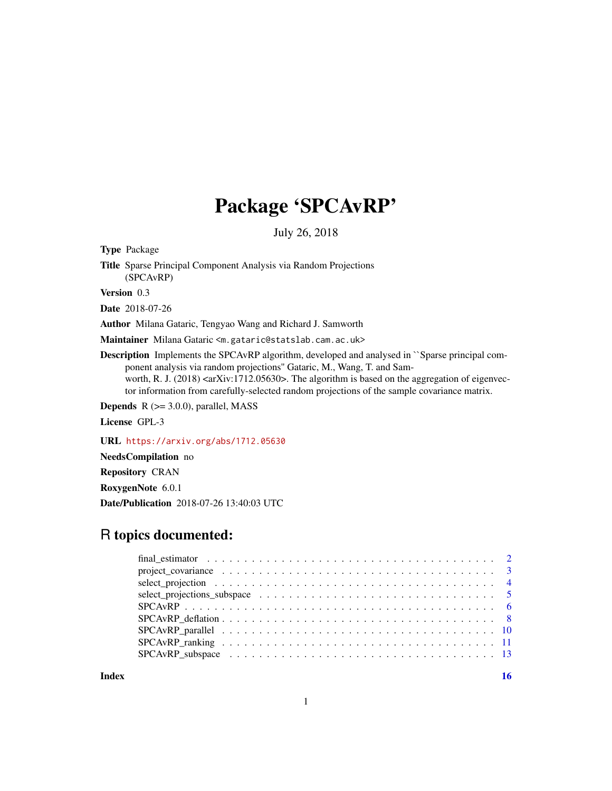## Package 'SPCAvRP'

July 26, 2018

Type Package

Title Sparse Principal Component Analysis via Random Projections (SPCAvRP)

Version 0.3

Date 2018-07-26

Author Milana Gataric, Tengyao Wang and Richard J. Samworth

Maintainer Milana Gataric <m.gataric@statslab.cam.ac.uk>

Description Implements the SPCAvRP algorithm, developed and analysed in ``Sparse principal component analysis via random projections'' Gataric, M., Wang, T. and Samworth, R. J. (2018)  $\langle \text{arXiv:1712.05630}\rangle$ . The algorithm is based on the aggregation of eigenvector information from carefully-selected random projections of the sample covariance matrix.

**Depends**  $R$  ( $>= 3.0.0$ ), parallel, MASS

License GPL-3

URL <https://arxiv.org/abs/1712.05630>

NeedsCompilation no

Repository CRAN

RoxygenNote 6.0.1

Date/Publication 2018-07-26 13:40:03 UTC

## R topics documented:

| project_covariance $\ldots \ldots \ldots \ldots \ldots \ldots \ldots \ldots \ldots \ldots \ldots \ldots$ |  |
|----------------------------------------------------------------------------------------------------------|--|
|                                                                                                          |  |
|                                                                                                          |  |
|                                                                                                          |  |
|                                                                                                          |  |
|                                                                                                          |  |
|                                                                                                          |  |
|                                                                                                          |  |
|                                                                                                          |  |

**Index** and the contract of the contract of the contract of the contract of the contract of the contract of the contract of the contract of the contract of the contract of the contract of the contract of the contract of th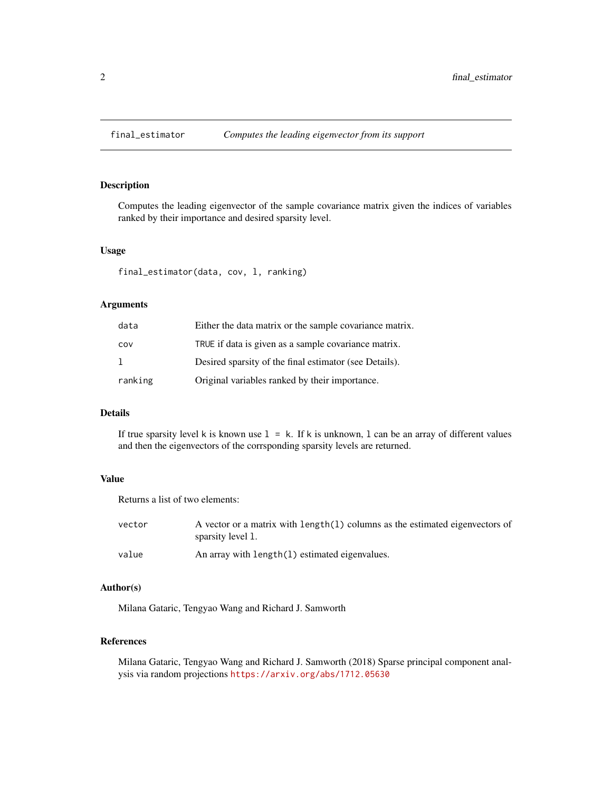<span id="page-1-0"></span>

#### Description

Computes the leading eigenvector of the sample covariance matrix given the indices of variables ranked by their importance and desired sparsity level.

#### Usage

final\_estimator(data, cov, l, ranking)

## Arguments

| data    | Either the data matrix or the sample covariance matrix. |
|---------|---------------------------------------------------------|
| COV     | TRUE if data is given as a sample covariance matrix.    |
| -1      | Desired sparsity of the final estimator (see Details).  |
| ranking | Original variables ranked by their importance.          |

#### Details

If true sparsity level k is known use  $1 = k$ . If k is unknown, 1 can be an array of different values and then the eigenvectors of the corrsponding sparsity levels are returned.

#### Value

Returns a list of two elements:

| vector | A vector or a matrix with length(1) columns as the estimated eigenvectors of<br>sparsity level 1. |
|--------|---------------------------------------------------------------------------------------------------|
| value  | An array with length(1) estimated eigenvalues.                                                    |

## Author(s)

Milana Gataric, Tengyao Wang and Richard J. Samworth

#### References

Milana Gataric, Tengyao Wang and Richard J. Samworth (2018) Sparse principal component analysis via random projections <https://arxiv.org/abs/1712.05630>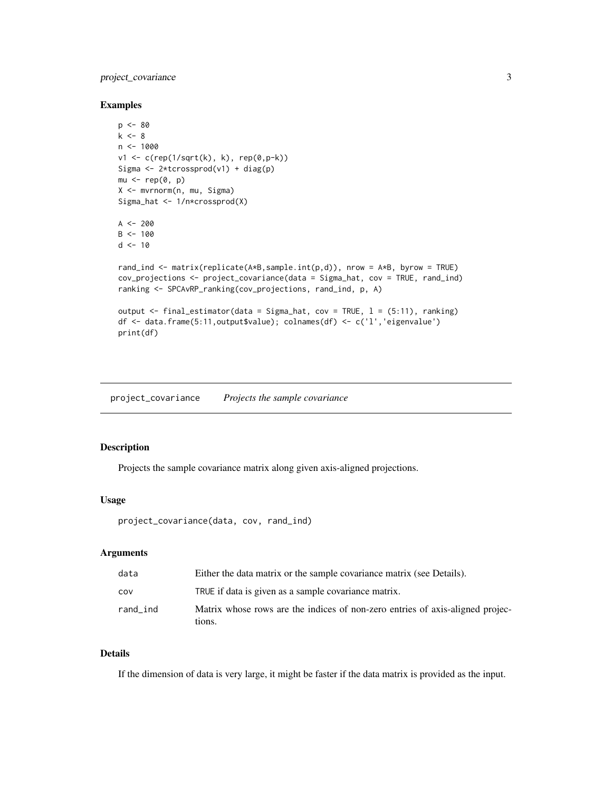## <span id="page-2-0"></span>project\_covariance 3

#### Examples

```
p <- 80
k < - 8n < -1000v1 <- c(rep(1/sqrt(k), k), rep(0,p-k))
Sigma <- 2*tcrossprod(v1) + diag(p)
mu < - rep(0, p)X <- mvrnorm(n, mu, Sigma)
Sigma_hat <- 1/n*crossprod(X)
A < -200B < - 100d < -10rand_ind <- matrix(replicate(A*B,sample.int(p,d)), nrow = A*B, byrow = TRUE)
cov_projections <- project_covariance(data = Sigma_hat, cov = TRUE, rand_ind)
ranking <- SPCAvRP_ranking(cov_projections, rand_ind, p, A)
output <- final_estimator(data = Sigma_hat, cov = TRUE, l = (5:11), ranking)
df <- data.frame(5:11,output$value); colnames(df) <- c('l','eigenvalue')
print(df)
```
<span id="page-2-1"></span>project\_covariance *Projects the sample covariance*

#### Description

Projects the sample covariance matrix along given axis-aligned projections.

#### Usage

```
project_covariance(data, cov, rand_ind)
```
## Arguments

| data     | Either the data matrix or the sample covariance matrix (see Details).                   |
|----------|-----------------------------------------------------------------------------------------|
| COV      | TRUE if data is given as a sample covariance matrix.                                    |
| rand_ind | Matrix whose rows are the indices of non-zero entries of axis-aligned projec-<br>tions. |

## Details

If the dimension of data is very large, it might be faster if the data matrix is provided as the input.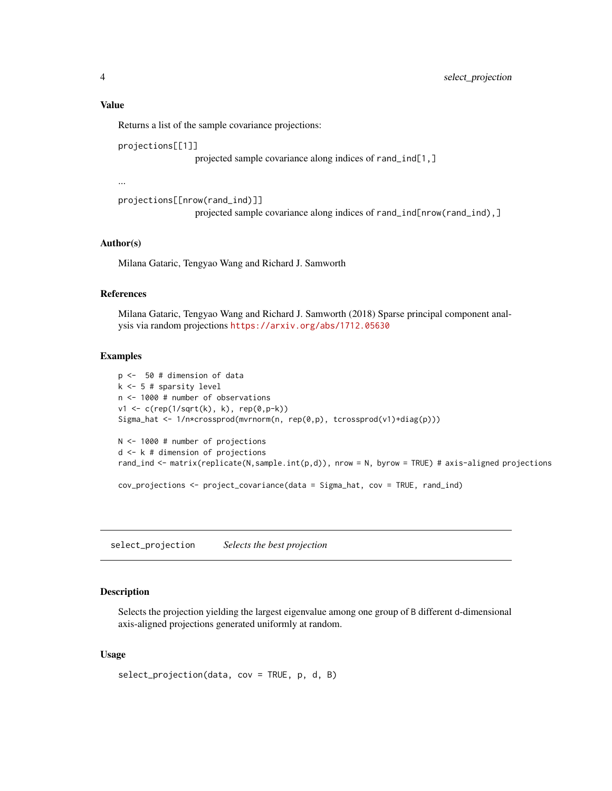#### <span id="page-3-0"></span>Value

Returns a list of the sample covariance projections:

projections[[1]]

projected sample covariance along indices of rand\_ind[1,]

...

```
projections[[nrow(rand_ind)]]
```
projected sample covariance along indices of rand\_ind[nrow(rand\_ind),]

## Author(s)

Milana Gataric, Tengyao Wang and Richard J. Samworth

#### References

Milana Gataric, Tengyao Wang and Richard J. Samworth (2018) Sparse principal component analysis via random projections <https://arxiv.org/abs/1712.05630>

#### Examples

```
p <- 50 # dimension of data
k <- 5 # sparsity level
n <- 1000 # number of observations
v1 \le c (rep(1/sqrt(k), k), rep(0,p-k))
Sigma_hat <- 1/n*crossprod(mvrnorm(n, rep(0,p), tcrossprod(v1)+diag(p)))
N <- 1000 # number of projections
d <- k # dimension of projections
rand_ind <- matrix(replicate(N,sample.int(p,d)), nrow = N, byrow = TRUE) # axis-aligned projections
cov_projections <- project_covariance(data = Sigma_hat, cov = TRUE, rand_ind)
```
select\_projection *Selects the best projection*

## Description

Selects the projection yielding the largest eigenvalue among one group of B different d-dimensional axis-aligned projections generated uniformly at random.

#### Usage

```
select_projection(data, cov = TRUE, p, d, B)
```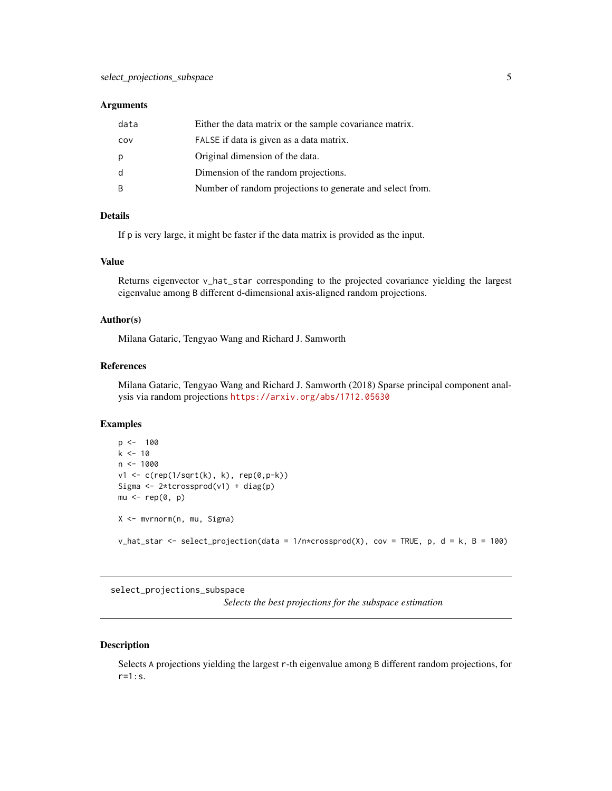#### <span id="page-4-0"></span>**Arguments**

| data | Either the data matrix or the sample covariance matrix.   |
|------|-----------------------------------------------------------|
| COV  | FALSE if data is given as a data matrix.                  |
| p    | Original dimension of the data.                           |
| d    | Dimension of the random projections.                      |
| B    | Number of random projections to generate and select from. |

#### Details

If p is very large, it might be faster if the data matrix is provided as the input.

## Value

Returns eigenvector v\_hat\_star corresponding to the projected covariance yielding the largest eigenvalue among B different d-dimensional axis-aligned random projections.

## Author(s)

Milana Gataric, Tengyao Wang and Richard J. Samworth

#### References

Milana Gataric, Tengyao Wang and Richard J. Samworth (2018) Sparse principal component analysis via random projections <https://arxiv.org/abs/1712.05630>

#### Examples

```
p \le -100k < -10n < -1000v1 <- c(rep(1/sqrt(k), k), rep(0,p-k))
Sigma <- 2*tcrossprod(v1) + diag(p)
mu < - rep(0, p)X <- mvrnorm(n, mu, Sigma)
v_hat_star <- select_projection(data = 1/n \times crossprod(X), cov = TRUE, p, d = k, B = 100)
```
select\_projections\_subspace

*Selects the best projections for the subspace estimation*

#### Description

Selects A projections yielding the largest r-th eigenvalue among B different random projections, for r=1:s.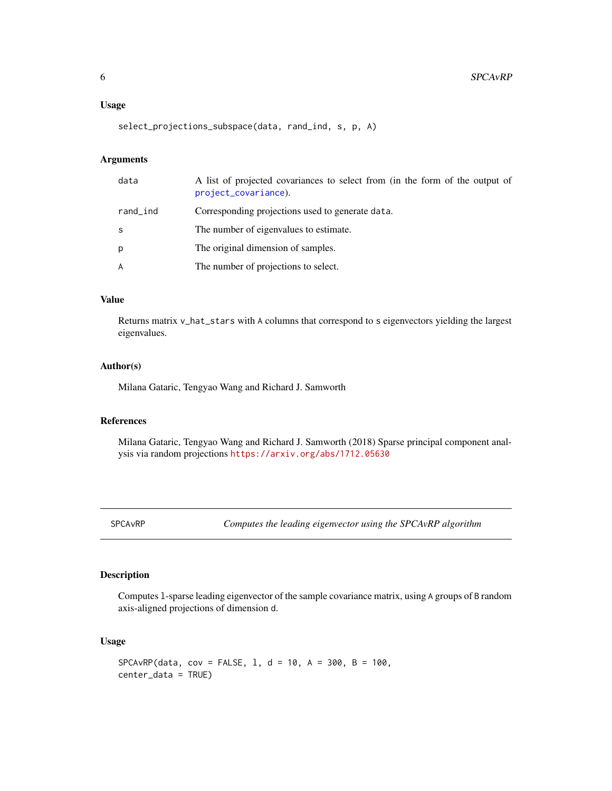#### <span id="page-5-0"></span>Usage

```
select_projections_subspace(data, rand_ind, s, p, A)
```
## Arguments

| data     | A list of projected covariances to select from (in the form of the output of<br>project_covariance). |
|----------|------------------------------------------------------------------------------------------------------|
| rand_ind | Corresponding projections used to generate data.                                                     |
| S        | The number of eigenvalues to estimate.                                                               |
| p        | The original dimension of samples.                                                                   |
| A        | The number of projections to select.                                                                 |

#### Value

Returns matrix v\_hat\_stars with A columns that correspond to s eigenvectors yielding the largest eigenvalues.

#### Author(s)

Milana Gataric, Tengyao Wang and Richard J. Samworth

## References

Milana Gataric, Tengyao Wang and Richard J. Samworth (2018) Sparse principal component analysis via random projections <https://arxiv.org/abs/1712.05630>

<span id="page-5-1"></span>SPCAvRP *Computes the leading eigenvector using the SPCAvRP algorithm*

## Description

Computes l-sparse leading eigenvector of the sample covariance matrix, using A groups of B random axis-aligned projections of dimension d.

## Usage

 $SPCAVRP$ (data, cov = FALSE, 1, d = 10, A = 300, B = 100, center\_data = TRUE)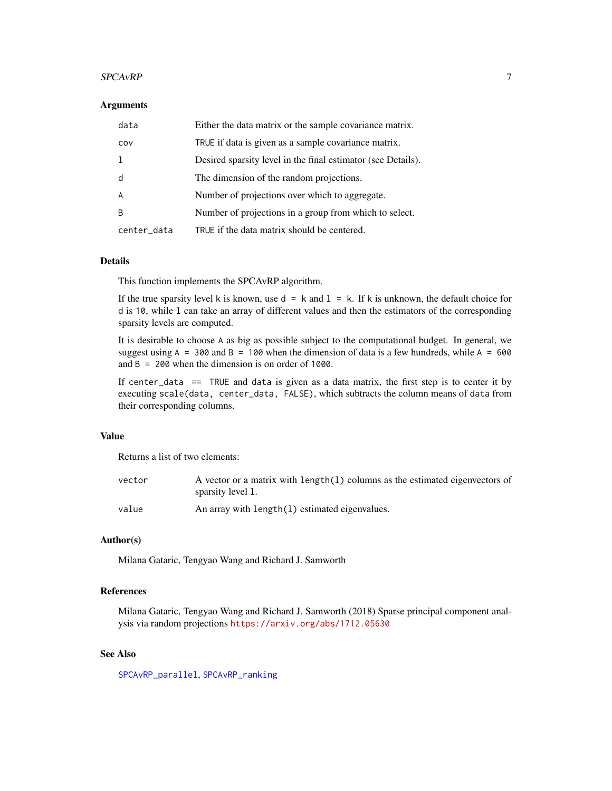#### <span id="page-6-0"></span> $SPCAVRP$  7

#### **Arguments**

| data        | Either the data matrix or the sample covariance matrix.      |
|-------------|--------------------------------------------------------------|
| COV         | TRUE if data is given as a sample covariance matrix.         |
|             | Desired sparsity level in the final estimator (see Details). |
| d           | The dimension of the random projections.                     |
| A           | Number of projections over which to aggregate.               |
| B           | Number of projections in a group from which to select.       |
| center_data | TRUE if the data matrix should be centered.                  |

#### Details

This function implements the SPCAvRP algorithm.

If the true sparsity level k is known, use  $d = k$  and  $1 = k$ . If k is unknown, the default choice for d is 10, while l can take an array of different values and then the estimators of the corresponding sparsity levels are computed.

It is desirable to choose A as big as possible subject to the computational budget. In general, we suggest using  $A = 300$  and  $B = 100$  when the dimension of data is a few hundreds, while  $A = 600$ and  $B = 200$  when the dimension is on order of 1000.

If center\_data == TRUE and data is given as a data matrix, the first step is to center it by executing scale(data, center\_data, FALSE), which subtracts the column means of data from their corresponding columns.

#### Value

Returns a list of two elements:

| vector | A vector or a matrix with length(1) columns as the estimated eigenvectors of<br>sparsity level 1. |
|--------|---------------------------------------------------------------------------------------------------|
| value  | An array with length(1) estimated eigenvalues.                                                    |

#### Author(s)

Milana Gataric, Tengyao Wang and Richard J. Samworth

## References

Milana Gataric, Tengyao Wang and Richard J. Samworth (2018) Sparse principal component analysis via random projections <https://arxiv.org/abs/1712.05630>

## See Also

[SPCAvRP\\_parallel](#page-9-1), [SPCAvRP\\_ranking](#page-10-1)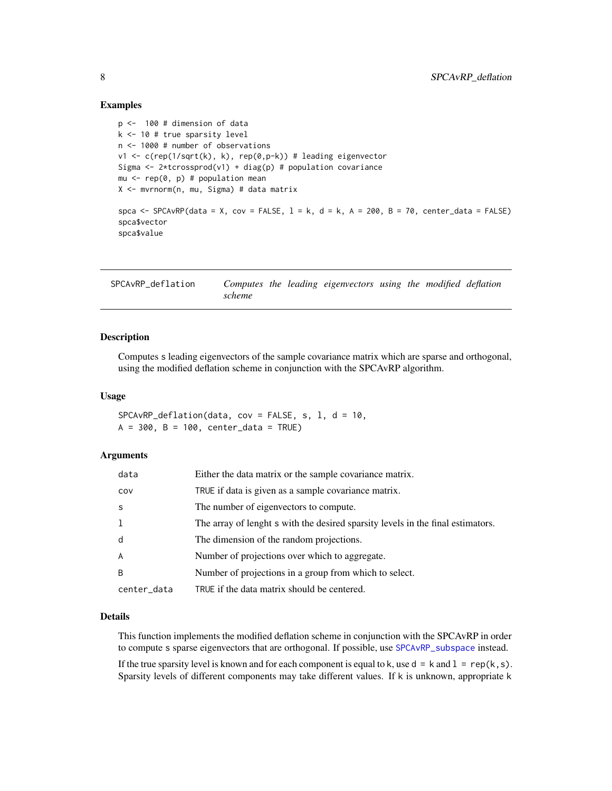#### Examples

```
p <- 100 # dimension of data
k <- 10 # true sparsity level
n <- 1000 # number of observations
v1 <- c(rep(1/sqrt(k), k), rep(0,p-k)) # leading eigenvector
Sigma <- 2*tcrossprod(v1) + diag(p) # population covariance
mu \leq rep(0, p) # population mean
X <- mvrnorm(n, mu, Sigma) # data matrix
spca \leq SPCAvRP(data = X, cov = FALSE, 1 = k, d = k, A = 200, B = 70, center_data = FALSE)
spca$vector
spca$value
```
<span id="page-7-1"></span>SPCAvRP\_deflation *Computes the leading eigenvectors using the modified deflation scheme*

#### Description

Computes s leading eigenvectors of the sample covariance matrix which are sparse and orthogonal, using the modified deflation scheme in conjunction with the SPCAvRP algorithm.

#### Usage

 $SPCAVRP\_definition(data, cov = FALSE, s, 1, d = 10,$  $A = 300$ ,  $B = 100$ , center\_data = TRUE)

#### Arguments

| data           | Either the data matrix or the sample covariance matrix.                         |
|----------------|---------------------------------------------------------------------------------|
| COV            | TRUE if data is given as a sample covariance matrix.                            |
| S              | The number of eigenvectors to compute.                                          |
| 1              | The array of lenght s with the desired sparsity levels in the final estimators. |
| d              | The dimension of the random projections.                                        |
| $\overline{A}$ | Number of projections over which to aggregate.                                  |
| B              | Number of projections in a group from which to select.                          |
| center_data    | TRUE if the data matrix should be centered.                                     |

#### Details

This function implements the modified deflation scheme in conjunction with the SPCAvRP in order to compute s sparse eigenvectors that are orthogonal. If possible, use [SPCAvRP\\_subspace](#page-12-1) instead.

If the true sparsity level is known and for each component is equal to k, use  $d = k$  and  $1 = rep(k, s)$ . Sparsity levels of different components may take different values. If k is unknown, appropriate k

<span id="page-7-0"></span>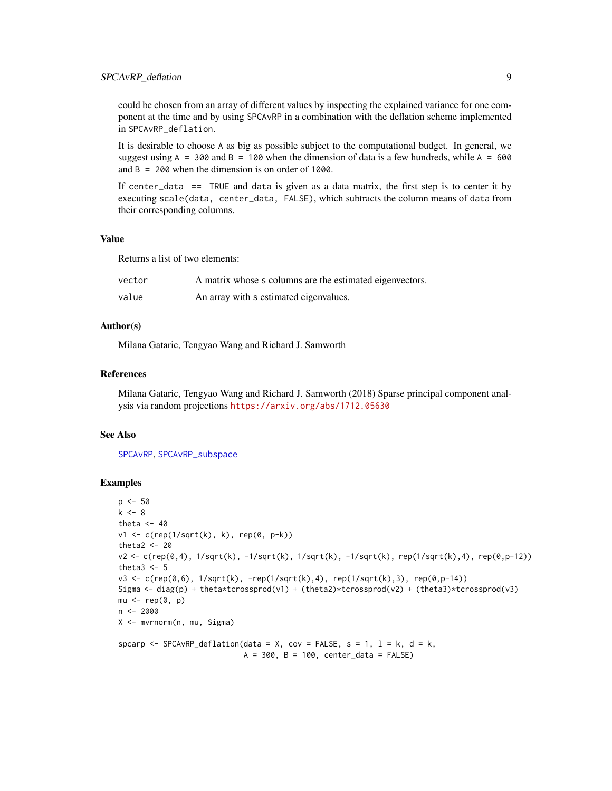<span id="page-8-0"></span>could be chosen from an array of different values by inspecting the explained variance for one component at the time and by using SPCAvRP in a combination with the deflation scheme implemented in SPCAvRP\_deflation.

It is desirable to choose A as big as possible subject to the computational budget. In general, we suggest using  $A = 300$  and  $B = 100$  when the dimension of data is a few hundreds, while  $A = 600$ and B = 200 when the dimension is on order of 1000.

If center\_data == TRUE and data is given as a data matrix, the first step is to center it by executing scale(data, center\_data, FALSE), which subtracts the column means of data from their corresponding columns.

#### Value

Returns a list of two elements:

| vector | A matrix whose s columns are the estimated eigenvectors. |
|--------|----------------------------------------------------------|
| value  | An array with s estimated eigenvalues.                   |

## Author(s)

Milana Gataric, Tengyao Wang and Richard J. Samworth

#### References

Milana Gataric, Tengyao Wang and Richard J. Samworth (2018) Sparse principal component analysis via random projections <https://arxiv.org/abs/1712.05630>

#### See Also

[SPCAvRP](#page-5-1), [SPCAvRP\\_subspace](#page-12-1)

#### Examples

```
p <- 50
k < - 8theta <-40v1 <- c(rep(1/sqrt(k), k), rep(0, p-k))
theta2 <-20v2 <- c(rep(0,4), 1/sqrt(k), -1/sqrt(k), 1/sqrt(k), -1/sqrt(k), rep(1/sqrt(k),4), rep(0,p-12))
theta3 < -5v3 <- c(rep(0,6), 1/sqrt(k), -rep(1/sqrt(k),4), rep(1/sqrt(k),3), rep(0,p-14))
Sigma <- diag(p) + theta*tcrossprod(v1) + (theta2)*tcrossprod(v2) + (theta3)*tcrossprod(v3)
mu < - rep(0, p)n <- 2000
X <- mvrnorm(n, mu, Sigma)
spcarp <- SPCAvRP_deflation(data = X, cov = FALSE, s = 1, l = k, d = k,
                            A = 300, B = 100, center_data = FALSE)
```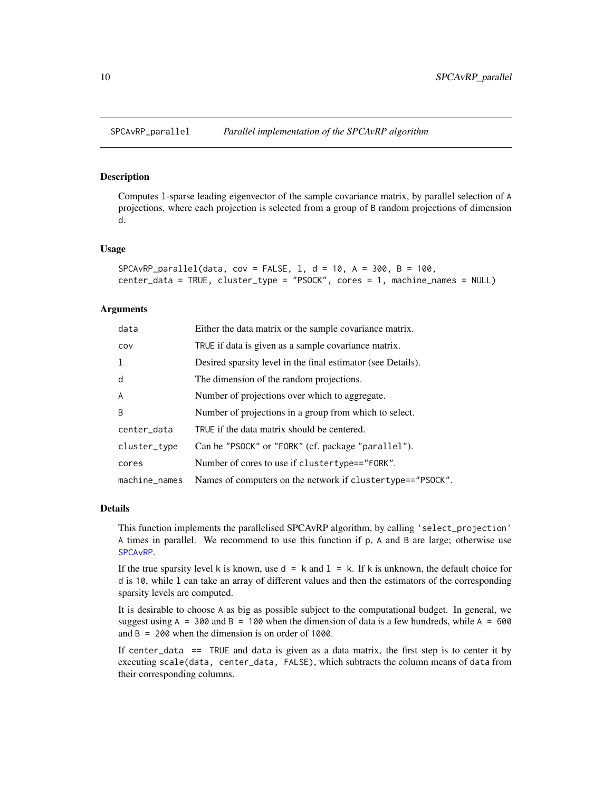<span id="page-9-1"></span><span id="page-9-0"></span>

#### **Description**

Computes l-sparse leading eigenvector of the sample covariance matrix, by parallel selection of A projections, where each projection is selected from a group of B random projections of dimension d.

#### Usage

```
SPCAVRP\_parallel(data, cov = FALSE, 1, d = 10, A = 300, B = 100,center_data = TRUE, cluster_type = "PSOCK", cores = 1, machine_names = NULL)
```
#### Arguments

| data           | Either the data matrix or the sample covariance matrix.      |
|----------------|--------------------------------------------------------------|
| COV            | TRUE if data is given as a sample covariance matrix.         |
| -1             | Desired sparsity level in the final estimator (see Details). |
| d              | The dimension of the random projections.                     |
| $\overline{A}$ | Number of projections over which to aggregate.               |
| B              | Number of projections in a group from which to select.       |
| center_data    | TRUE if the data matrix should be centered.                  |
| cluster_type   | Can be "PSOCK" or "FORK" (cf. package "parallel").           |
| cores          | Number of cores to use if clustertype=="FORK".               |
| machine_names  | Names of computers on the network if clustertype=="PSOCK".   |

#### Details

This function implements the parallelised SPCAvRP algorithm, by calling 'select\_projection' A times in parallel. We recommend to use this function if p, A and B are large; otherwise use [SPCAvRP](#page-5-1).

If the true sparsity level k is known, use  $d = k$  and  $l = k$ . If k is unknown, the default choice for d is 10, while l can take an array of different values and then the estimators of the corresponding sparsity levels are computed.

It is desirable to choose A as big as possible subject to the computational budget. In general, we suggest using  $A = 300$  and  $B = 100$  when the dimension of data is a few hundreds, while  $A = 600$ and  $B = 200$  when the dimension is on order of 1000.

If center\_data  $==$  TRUE and data is given as a data matrix, the first step is to center it by executing scale(data, center\_data, FALSE), which subtracts the column means of data from their corresponding columns.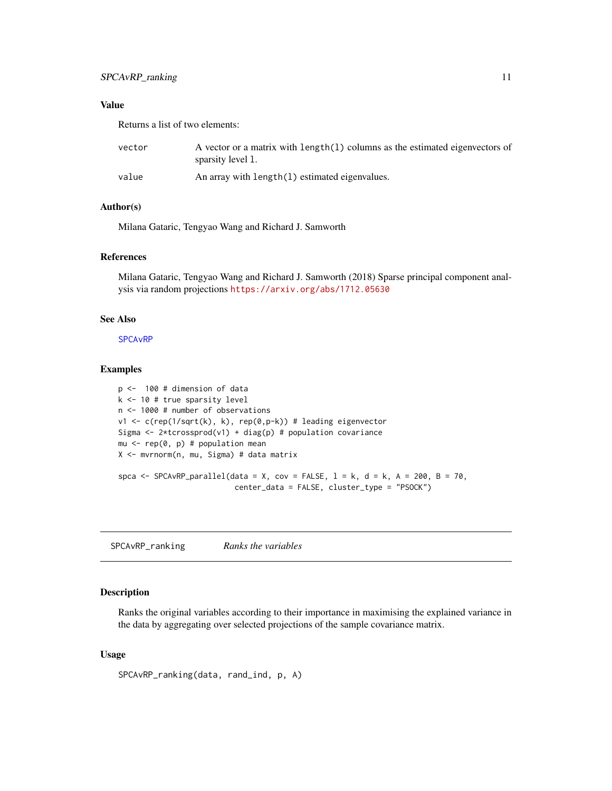## <span id="page-10-0"></span>Value

Returns a list of two elements:

| vector | A vector or a matrix with length $(1)$ columns as the estimated eigenvectors of<br>sparsity level 1. |
|--------|------------------------------------------------------------------------------------------------------|
| value  | An array with length(1) estimated eigenvalues.                                                       |

#### Author(s)

Milana Gataric, Tengyao Wang and Richard J. Samworth

#### References

Milana Gataric, Tengyao Wang and Richard J. Samworth (2018) Sparse principal component analysis via random projections <https://arxiv.org/abs/1712.05630>

#### See Also

**SPCA<sub>vRP</sub>** 

## Examples

```
p <- 100 # dimension of data
k <- 10 # true sparsity level
n <- 1000 # number of observations
v1 <- c(rep(1/sqrt(k), k), rep(0,p-k)) # leading eigenvector
Sigma <- 2*tcrossprod(v1) + diag(p) # population covariance
mu \leq rep(0, p) # population mean
X <- mvrnorm(n, mu, Sigma) # data matrix
spca <- SPCAvRP_parallel(data = X, cov = FALSE, l = k, d = k, A = 200, B = 70,
                          center_data = FALSE, cluster_type = "PSOCK")
```
<span id="page-10-1"></span>SPCAvRP\_ranking *Ranks the variables*

## Description

Ranks the original variables according to their importance in maximising the explained variance in the data by aggregating over selected projections of the sample covariance matrix.

## Usage

```
SPCAvRP_ranking(data, rand_ind, p, A)
```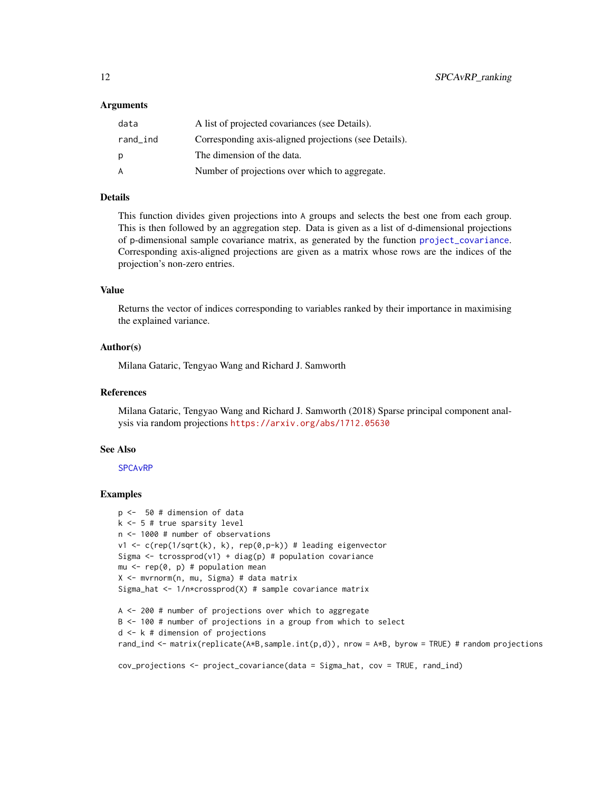#### <span id="page-11-0"></span>Arguments

| data     | A list of projected covariances (see Details).        |
|----------|-------------------------------------------------------|
| rand_ind | Corresponding axis-aligned projections (see Details). |
| р        | The dimension of the data.                            |
| A        | Number of projections over which to aggregate.        |

## Details

This function divides given projections into A groups and selects the best one from each group. This is then followed by an aggregation step. Data is given as a list of d-dimensional projections of p-dimensional sample covariance matrix, as generated by the function [project\\_covariance](#page-2-1). Corresponding axis-aligned projections are given as a matrix whose rows are the indices of the projection's non-zero entries.

## Value

Returns the vector of indices corresponding to variables ranked by their importance in maximising the explained variance.

#### Author(s)

Milana Gataric, Tengyao Wang and Richard J. Samworth

#### References

Milana Gataric, Tengyao Wang and Richard J. Samworth (2018) Sparse principal component analysis via random projections <https://arxiv.org/abs/1712.05630>

## See Also

[SPCAvRP](#page-5-1)

#### Examples

```
p <- 50 # dimension of data
k <- 5 # true sparsity level
n <- 1000 # number of observations
v1 \leq c(rep(1/sqrt(k), k), rep(0,p-k)) # leading eigenvector
Sigma \le tcrossprod(v1) + diag(p) # population covariance
mu \leq rep(0, p) # population mean
X <- mvrnorm(n, mu, Sigma) # data matrix
Sigma_hat <- 1/n*crossprod(X) # sample covariance matrix
A <- 200 # number of projections over which to aggregate
B <- 100 # number of projections in a group from which to select
d <- k # dimension of projections
rand_ind <- matrix(replicate(A*B,sample.int(p,d)), nrow = A*B, byrow = TRUE) # random projections
```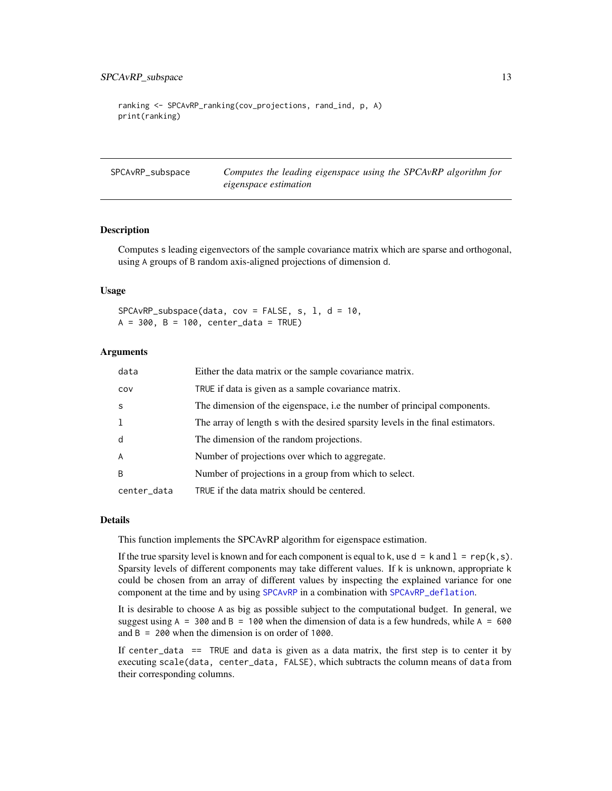```
ranking <- SPCAvRP_ranking(cov_projections, rand_ind, p, A)
print(ranking)
```
<span id="page-12-1"></span>SPCAvRP\_subspace *Computes the leading eigenspace using the SPCAvRP algorithm for eigenspace estimation*

## **Description**

Computes s leading eigenvectors of the sample covariance matrix which are sparse and orthogonal, using A groups of B random axis-aligned projections of dimension d.

#### Usage

 $SPCAVRP\_subspace(data, cov = FALSE, s, 1, d = 10,$  $A = 300$ ,  $B = 100$ , center\_data = TRUE)

#### **Arguments**

| data        | Either the data matrix or the sample covariance matrix.                         |
|-------------|---------------------------------------------------------------------------------|
| COV         | TRUE if data is given as a sample covariance matrix.                            |
| S           | The dimension of the eigenspace, i.e the number of principal components.        |
| 1           | The array of length s with the desired sparsity levels in the final estimators. |
| d           | The dimension of the random projections.                                        |
| A           | Number of projections over which to aggregate.                                  |
| B           | Number of projections in a group from which to select.                          |
| center_data | TRUE if the data matrix should be centered.                                     |

#### Details

This function implements the SPCAvRP algorithm for eigenspace estimation.

If the true sparsity level is known and for each component is equal to k, use  $d = k$  and  $l = rep(k, s)$ . Sparsity levels of different components may take different values. If k is unknown, appropriate k could be chosen from an array of different values by inspecting the explained variance for one component at the time and by using [SPCAvRP](#page-5-1) in a combination with [SPCAvRP\\_deflation](#page-7-1).

It is desirable to choose A as big as possible subject to the computational budget. In general, we suggest using  $A = 300$  and  $B = 100$  when the dimension of data is a few hundreds, while  $A = 600$ and B = 200 when the dimension is on order of 1000.

If center\_data  $==$  TRUE and data is given as a data matrix, the first step is to center it by executing scale(data, center\_data, FALSE), which subtracts the column means of data from their corresponding columns.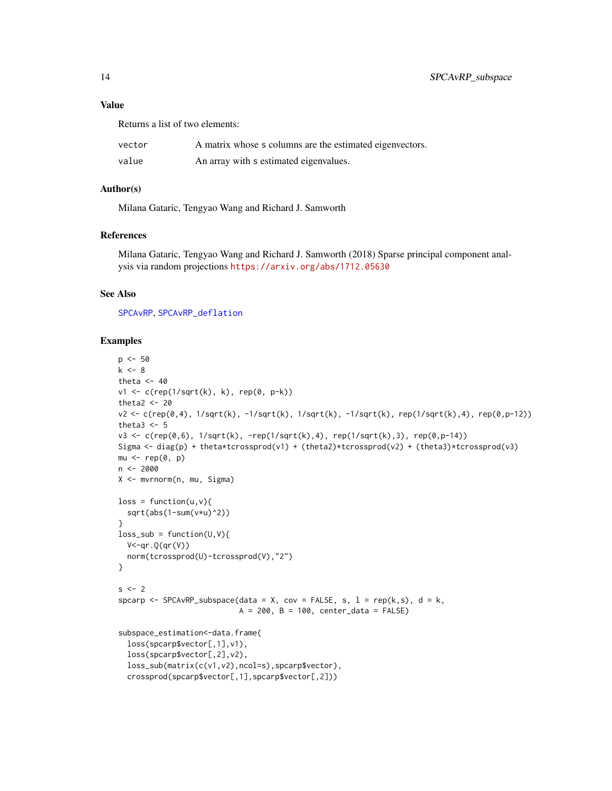#### <span id="page-13-0"></span>Value

Returns a list of two elements:

| vector | A matrix whose s columns are the estimated eigenvectors. |
|--------|----------------------------------------------------------|
| value  | An array with s estimated eigenvalues.                   |

#### Author(s)

Milana Gataric, Tengyao Wang and Richard J. Samworth

## References

Milana Gataric, Tengyao Wang and Richard J. Samworth (2018) Sparse principal component analysis via random projections <https://arxiv.org/abs/1712.05630>

#### See Also

[SPCAvRP](#page-5-1), [SPCAvRP\\_deflation](#page-7-1)

#### Examples

```
p \le -50k < - 8theta <-40v1 <- c(rep(1/sqrt(k), k), rep(0, p-k))
theta2 <-20v2 <- c(rep(0,4), 1/sqrt(k), -1/sqrt(k), 1/sqrt(k), -1/sqrt(k), rep(1/sqrt(k),4), rep(0,p-12))
theta3 <-5v3 <- c(rep(0,6), 1/sqrt(k), -rep(1/sqrt(k),4), rep(1/sqrt(k),3), rep(0,p-14))
Sigma <- diag(p) + theta*tcrossprod(v1) + (theta2)*tcrossprod(v2) + (theta3)*tcrossprod(v3)
mu < - rep(0, p)n < -2000X <- mvrnorm(n, mu, Sigma)
loss = function(u, v)sqrt(abs(1-sum(v*u)^2))
}
loss\_sub = function(U,V)V<-qr.Q(qr(V))norm(tcrossprod(U)-tcrossprod(V),"2")
}
s < -2spcarp <- SPCAvRP_subspace(data = X, cov = FALSE, s, 1 = rep(k, s), d = k,
                           A = 200, B = 100, center_data = FALSE)
subspace_estimation <- data.frame(
  loss(spcarp$vector[,1],v1),
  loss(spcarp$vector[,2],v2),
  loss_sub(matrix(c(v1,v2),ncol=s),spcarp$vector),
  crossprod(spcarp$vector[,1],spcarp$vector[,2]))
```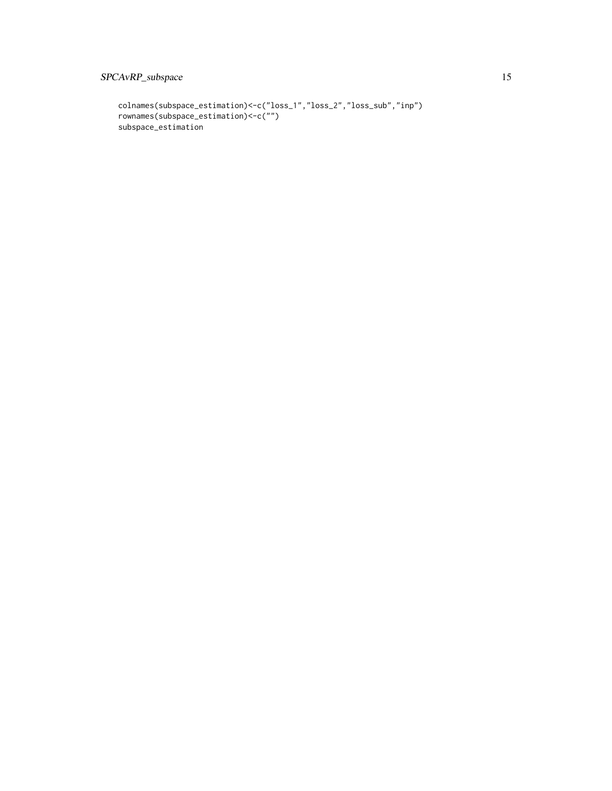## SPCAvRP\_subspace 15

```
colnames(subspace_estimation)<-c("loss_1","loss_2","loss_sub","inp")
rownames(subspace_estimation)<-c("")
subspace_estimation
```